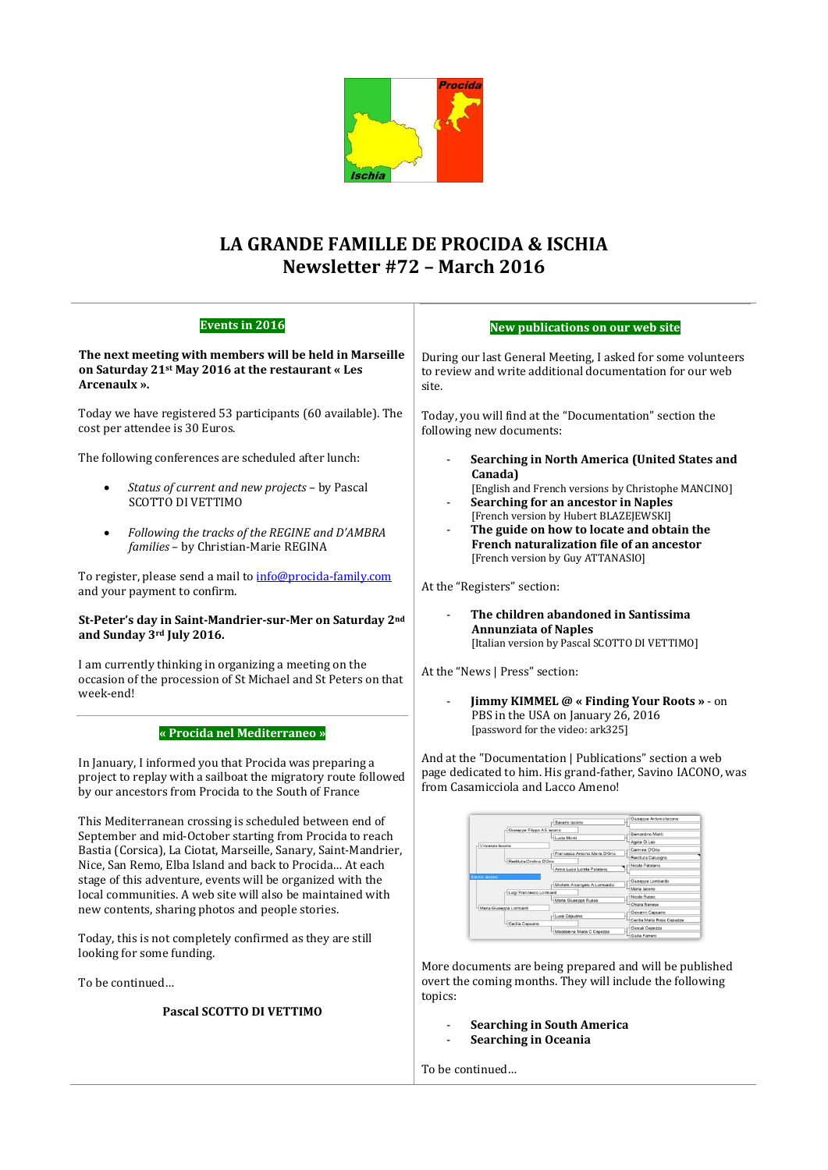

# **LA GRANDE FAMILLE DE PROCIDA & ISCHIA Newsletter #72 – March 2016**

| <b>Events in 2016</b>                                                                                                                                                                                                                                                                                                                                                                                                                                                                                                       | New publications on our web site                                                                                                                                                                                                                                                                                                                                                                                                                                                                                                                                                                                                |
|-----------------------------------------------------------------------------------------------------------------------------------------------------------------------------------------------------------------------------------------------------------------------------------------------------------------------------------------------------------------------------------------------------------------------------------------------------------------------------------------------------------------------------|---------------------------------------------------------------------------------------------------------------------------------------------------------------------------------------------------------------------------------------------------------------------------------------------------------------------------------------------------------------------------------------------------------------------------------------------------------------------------------------------------------------------------------------------------------------------------------------------------------------------------------|
| The next meeting with members will be held in Marseille                                                                                                                                                                                                                                                                                                                                                                                                                                                                     | During our last General Meeting, I asked for some volunteers                                                                                                                                                                                                                                                                                                                                                                                                                                                                                                                                                                    |
| on Saturday 21st May 2016 at the restaurant « Les                                                                                                                                                                                                                                                                                                                                                                                                                                                                           | to review and write additional documentation for our web                                                                                                                                                                                                                                                                                                                                                                                                                                                                                                                                                                        |
| Arcenaulx ».                                                                                                                                                                                                                                                                                                                                                                                                                                                                                                                | site.                                                                                                                                                                                                                                                                                                                                                                                                                                                                                                                                                                                                                           |
| Today we have registered 53 participants (60 available). The                                                                                                                                                                                                                                                                                                                                                                                                                                                                | Today, you will find at the "Documentation" section the                                                                                                                                                                                                                                                                                                                                                                                                                                                                                                                                                                         |
| cost per attendee is 30 Euros.                                                                                                                                                                                                                                                                                                                                                                                                                                                                                              | following new documents:                                                                                                                                                                                                                                                                                                                                                                                                                                                                                                                                                                                                        |
| The following conferences are scheduled after lunch:                                                                                                                                                                                                                                                                                                                                                                                                                                                                        | Searching in North America (United States and                                                                                                                                                                                                                                                                                                                                                                                                                                                                                                                                                                                   |
| Status of current and new projects - by Pascal                                                                                                                                                                                                                                                                                                                                                                                                                                                                              | Canada)                                                                                                                                                                                                                                                                                                                                                                                                                                                                                                                                                                                                                         |
| ٠                                                                                                                                                                                                                                                                                                                                                                                                                                                                                                                           | [English and French versions by Christophe MANCINO]                                                                                                                                                                                                                                                                                                                                                                                                                                                                                                                                                                             |
| <b>SCOTTO DI VETTIMO</b>                                                                                                                                                                                                                                                                                                                                                                                                                                                                                                    | Searching for an ancestor in Naples                                                                                                                                                                                                                                                                                                                                                                                                                                                                                                                                                                                             |
| Following the tracks of the REGINE and D'AMBRA                                                                                                                                                                                                                                                                                                                                                                                                                                                                              | [French version by Hubert BLAZE]EWSKI]                                                                                                                                                                                                                                                                                                                                                                                                                                                                                                                                                                                          |
| $\bullet$                                                                                                                                                                                                                                                                                                                                                                                                                                                                                                                   | The guide on how to locate and obtain the                                                                                                                                                                                                                                                                                                                                                                                                                                                                                                                                                                                       |
| families - by Christian-Marie REGINA                                                                                                                                                                                                                                                                                                                                                                                                                                                                                        | French naturalization file of an ancestor                                                                                                                                                                                                                                                                                                                                                                                                                                                                                                                                                                                       |
| To register, please send a mail to info@procida-family.com                                                                                                                                                                                                                                                                                                                                                                                                                                                                  | [French version by Guy ATTANASIO]                                                                                                                                                                                                                                                                                                                                                                                                                                                                                                                                                                                               |
| and your payment to confirm.                                                                                                                                                                                                                                                                                                                                                                                                                                                                                                | At the "Registers" section:                                                                                                                                                                                                                                                                                                                                                                                                                                                                                                                                                                                                     |
| St-Peter's day in Saint-Mandrier-sur-Mer on Saturday 2nd<br>and Sunday 3rd July 2016.                                                                                                                                                                                                                                                                                                                                                                                                                                       | The children abandoned in Santissima<br><b>Annunziata of Naples</b><br>[Italian version by Pascal SCOTTO DI VETTIMO]                                                                                                                                                                                                                                                                                                                                                                                                                                                                                                            |
| I am currently thinking in organizing a meeting on the                                                                                                                                                                                                                                                                                                                                                                                                                                                                      | At the "News   Press" section:                                                                                                                                                                                                                                                                                                                                                                                                                                                                                                                                                                                                  |
| occasion of the procession of St Michael and St Peters on that                                                                                                                                                                                                                                                                                                                                                                                                                                                              | Jimmy KIMMEL @ « Finding Your Roots » - on                                                                                                                                                                                                                                                                                                                                                                                                                                                                                                                                                                                      |
| week-end!                                                                                                                                                                                                                                                                                                                                                                                                                                                                                                                   | PBS in the USA on January 26, 2016                                                                                                                                                                                                                                                                                                                                                                                                                                                                                                                                                                                              |
| « Procida nel Mediterraneo »                                                                                                                                                                                                                                                                                                                                                                                                                                                                                                | [password for the video: ark325]                                                                                                                                                                                                                                                                                                                                                                                                                                                                                                                                                                                                |
| In January, I informed you that Procida was preparing a                                                                                                                                                                                                                                                                                                                                                                                                                                                                     | And at the "Documentation   Publications" section a web                                                                                                                                                                                                                                                                                                                                                                                                                                                                                                                                                                         |
| project to replay with a sailboat the migratory route followed                                                                                                                                                                                                                                                                                                                                                                                                                                                              | page dedicated to him. His grand-father, Savino IACONO, was                                                                                                                                                                                                                                                                                                                                                                                                                                                                                                                                                                     |
| by our ancestors from Procida to the South of France                                                                                                                                                                                                                                                                                                                                                                                                                                                                        | from Casamicciola and Lacco Ameno!                                                                                                                                                                                                                                                                                                                                                                                                                                                                                                                                                                                              |
| This Mediterranean crossing is scheduled between end of<br>September and mid-October starting from Procida to reach<br>Bastia (Corsica), La Ciotat, Marseille, Sanary, Saint-Mandrier,<br>Nice, San Remo, Elba Island and back to Procida At each<br>stage of this adventure, events will be organized with the<br>local communities. A web site will also be maintained with<br>new contents, sharing photos and people stories.<br>Today, this is not completely confirmed as they are still<br>looking for some funding. | Giuseppe Antonio la<br>Saverio lacor<br>Giuseppe Filippo AS lacono<br>Bernardino Mon<br>Lucia Mont<br>Agata Di Lec<br>Vincenzo lacono<br>Carmine D'Orio<br>Francesco Antonio Maria D'Orio<br>Restituta Catuogr<br>Restituta Cristina D'O<br>Nicola Patala<br>Anna Lucia Loreta Patalano<br>Giuseppe Lombard<br>Michele Arcangelo A Lombarde<br>Maria lacono<br>Luigi Francesco Lombardi<br>Nicola Russ<br>Maria Giuseppa Russo<br>Chiara Senes<br>Maria Giuseppa Lombardi<br>Giovanni Capuani<br>-Luca Capuano<br>Cecilia Maria Rosa Capezza<br>Cecilia Capuano<br>Giosuè Capezza<br>Maddalena Maria C Capezza<br>Giulia Ferran |

More documents are being prepared and will be published overt the coming months. They will include the following topics:

- **Searching in South America**
- **Searching in Oceania**

To be continued…

To be continued…

**Pascal SCOTTO DI VETTIMO**